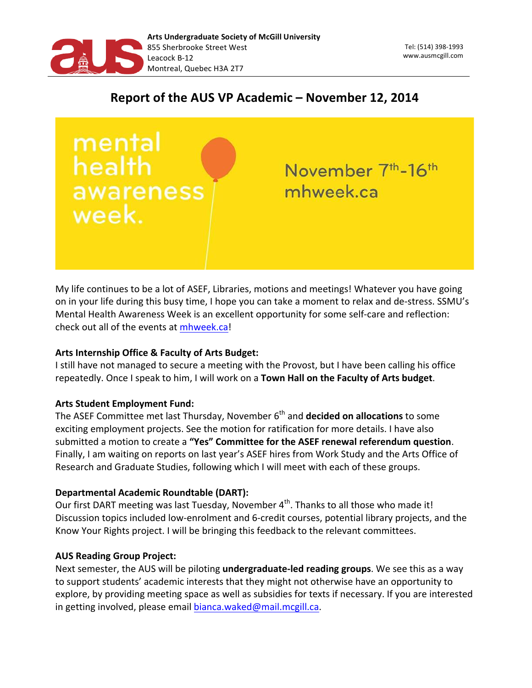

# Report of the AUS VP Academic - November 12, 2014

mental health awareness week.

November 7<sup>th</sup>-16<sup>th</sup> mhweek.ca

My life continues to be a lot of ASEF, Libraries, motions and meetings! Whatever you have going on in your life during this busy time, I hope you can take a moment to relax and de-stress. SSMU's Mental Health Awareness Week is an excellent opportunity for some self-care and reflection: check out all of the events at mhweek.ca!

## Arts Internship Office & Faculty of Arts Budget:

I still have not managed to secure a meeting with the Provost, but I have been calling his office repeatedly. Once I speak to him, I will work on a Town Hall on the Faculty of Arts budget.

# **Arts Student Employment Fund:**

The ASEF Committee met last Thursday, November 6<sup>th</sup> and **decided on allocations** to some exciting employment projects. See the motion for ratification for more details. I have also submitted a motion to create a "Yes" Committee for the ASEF renewal referendum question. Finally, I am waiting on reports on last year's ASEF hires from Work Study and the Arts Office of Research and Graduate Studies, following which I will meet with each of these groups.

# **Departmental Academic Roundtable (DART):**

Our first DART meeting was last Tuesday, November 4<sup>th</sup>. Thanks to all those who made it! Discussion topics included low-enrolment and 6-credit courses, potential library projects, and the Know Your Rights project. I will be bringing this feedback to the relevant committees.

# **AUS Reading Group Project:**

Next semester, the AUS will be piloting *undergraduate-led reading groups*. We see this as a way to support students' academic interests that they might not otherwise have an opportunity to explore, by providing meeting space as well as subsidies for texts if necessary. If you are interested in getting involved, please email bianca.waked@mail.mcgill.ca.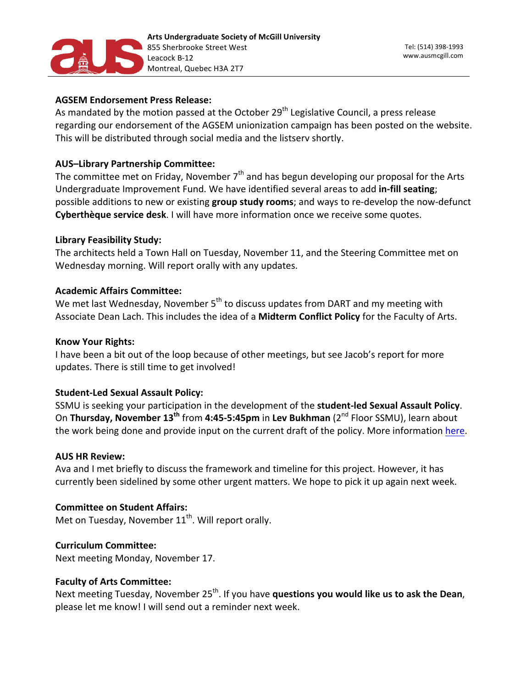

## **AGSEM Endorsement Press Release:**

As mandated by the motion passed at the October 29<sup>th</sup> Legislative Council, a press release regarding our endorsement of the AGSEM unionization campaign has been posted on the website. This will be distributed through social media and the listserv shortly.

## **AUS-Library Partnership Committee:**

The committee met on Friday, November  $7<sup>th</sup>$  and has begun developing our proposal for the Arts Undergraduate Improvement Fund. We have identified several areas to add in-fill seating; possible additions to new or existing **group study rooms**; and ways to re-develop the now-defunct Cyberthèque service desk. I will have more information once we receive some quotes.

## **Library Feasibility Study:**

The architects held a Town Hall on Tuesday, November 11, and the Steering Committee met on Wednesday morning. Will report orally with any updates.

## **Academic Affairs Committee:**

We met last Wednesday, November 5<sup>th</sup> to discuss updates from DART and my meeting with Associate Dean Lach. This includes the idea of a Midterm Conflict Policy for the Faculty of Arts.

#### **Know Your Rights:**

I have been a bit out of the loop because of other meetings, but see Jacob's report for more updates. There is still time to get involved!

## **Student-Led Sexual Assault Policy:**

SSMU is seeking your participation in the development of the student-led Sexual Assault Policy. On Thursday, November 13<sup>th</sup> from 4:45-5:45pm in Lev Bukhman (2<sup>nd</sup> Floor SSMU), learn about the work being done and provide input on the current draft of the policy. More information here.

## **AUS HR Review:**

Ava and I met briefly to discuss the framework and timeline for this project. However, it has currently been sidelined by some other urgent matters. We hope to pick it up again next week.

## **Committee on Student Affairs:**

Met on Tuesday, November  $11<sup>th</sup>$ . Will report orally.

## **Curriculum 
Committee:**

Next meeting Monday, November 17.

## **Faculty of Arts Committee:**

Next meeting Tuesday, November 25<sup>th</sup>. If you have **questions you would like us to ask the Dean**, please let me know! I will send out a reminder next week.